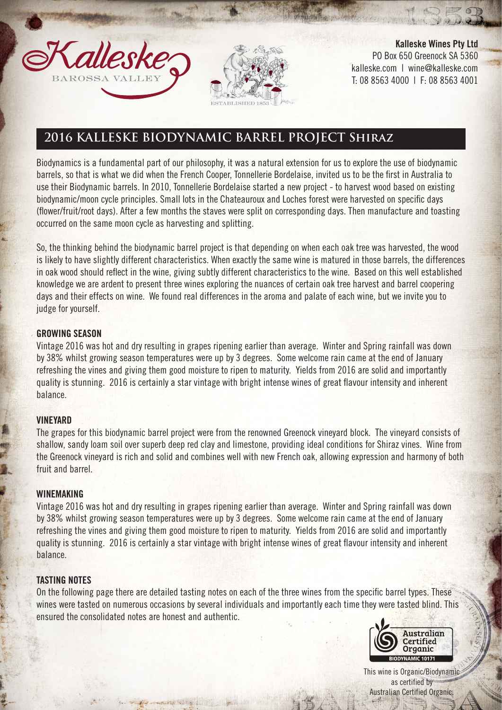



Kalleske Wines Pty Ltd PO Box 650 Greenock SA 5360 kalleske.com | wine@kalleske.com T: 08 8563 4000 | F: 08 8563 4001

# **2016 KALLESKE BIODYNAMIC BARREL PROJECT Shiraz**

Biodynamics is a fundamental part of our philosophy, it was a natural extension for us to explore the use of biodynamic barrels, so that is what we did when the French Cooper, Tonnellerie Bordelaise, invited us to be the first in Australia to use their Biodynamic barrels. In 2010, Tonnellerie Bordelaise started a new project - to harvest wood based on existing biodynamic/moon cycle principles. Small lots in the Chateauroux and Loches forest were harvested on specific days (flower/fruit/root days). After a few months the staves were split on corresponding days. Then manufacture and toasting occurred on the same moon cycle as harvesting and splitting.

So, the thinking behind the biodynamic barrel project is that depending on when each oak tree was harvested, the wood is likely to have slightly different characteristics. When exactly the same wine is matured in those barrels, the differences in oak wood should reflect in the wine, giving subtly different characteristics to the wine. Based on this well established knowledge we are ardent to present three wines exploring the nuances of certain oak tree harvest and barrel coopering days and their effects on wine. We found real differences in the aroma and palate of each wine, but we invite you to judge for yourself.

### GROWING SEASON

Vintage 2016 was hot and dry resulting in grapes ripening earlier than average. Winter and Spring rainfall was down by 38% whilst growing season temperatures were up by 3 degrees. Some welcome rain came at the end of January refreshing the vines and giving them good moisture to ripen to maturity. Yields from 2016 are solid and importantly quality is stunning. 2016 is certainly a star vintage with bright intense wines of great flavour intensity and inherent balance.

### VINEYARD

The grapes for this biodynamic barrel project were from the renowned Greenock vineyard block. The vineyard consists of shallow, sandy loam soil over superb deep red clay and limestone, providing ideal conditions for Shiraz vines. Wine from the Greenock vineyard is rich and solid and combines well with new French oak, allowing expression and harmony of both fruit and barrel.

### WINEMAKING

Vintage 2016 was hot and dry resulting in grapes ripening earlier than average. Winter and Spring rainfall was down by 38% whilst growing season temperatures were up by 3 degrees. Some welcome rain came at the end of January refreshing the vines and giving them good moisture to ripen to maturity. Yields from 2016 are solid and importantly quality is stunning. 2016 is certainly a star vintage with bright intense wines of great flavour intensity and inherent balance.

### TASTING NOTES

On the following page there are detailed tasting notes on each of the three wines from the specific barrel types. These wines were tasted on numerous occasions by several individuals and importantly each time they were tasted blind. This ensured the consolidated notes are honest and authentic.



This wine is Organic/Biodynamic as certified by Australian Certified Organic.